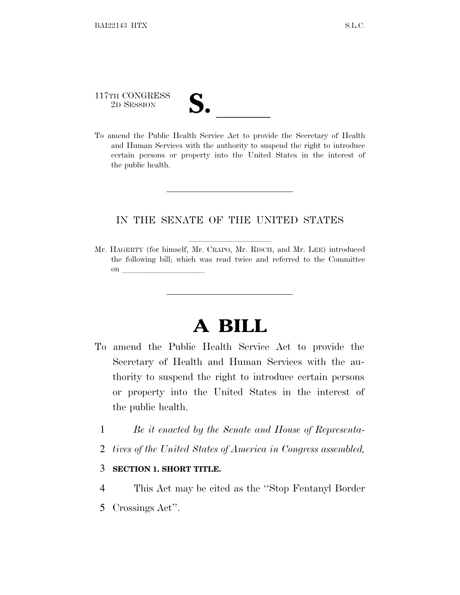# 117TH CONGRESS 117TH CONGRESS<br>
2D SESSION<br>
To amend the Public Health Service Act to provide the Secretary of Health

and Human Services with the authority to suspend the right to introduce certain persons or property into the United States in the interest of the public health.

### IN THE SENATE OF THE UNITED STATES

Mr. HAGERTY (for himself, Mr. CRAPO, Mr. RISCH, and Mr. LEE) introduced the following bill; which was read twice and referred to the Committee on  $\overline{\qquad \qquad }$ 

## **A BILL**

- To amend the Public Health Service Act to provide the Secretary of Health and Human Services with the authority to suspend the right to introduce certain persons or property into the United States in the interest of the public health.
	- 1 *Be it enacted by the Senate and House of Representa-*
	- 2 *tives of the United States of America in Congress assembled,*

#### 3 **SECTION 1. SHORT TITLE.**

- 4 This Act may be cited as the ''Stop Fentanyl Border
- 5 Crossings Act''.